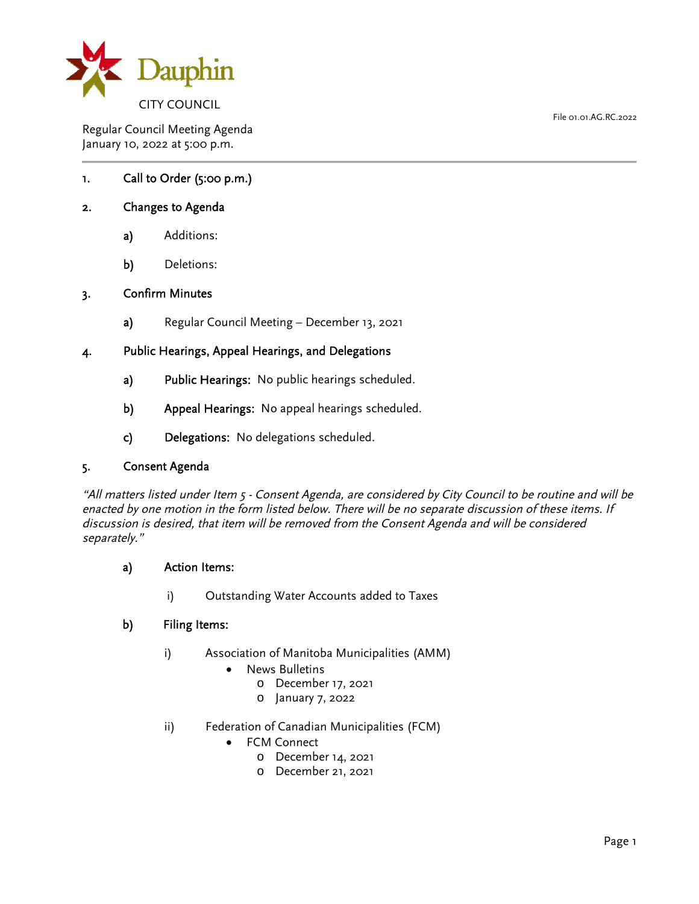

Regular Council Meeting Agenda January 10, 2022 at 5:00 p.m.

## 1. Call to Order (5:00 p.m.)

#### 2. Changes to Agenda

- a) Additions:
- b) Deletions:

#### 3. Confirm Minutes

a) Regular Council Meeting – December 13, 2021

#### 4. Public Hearings, Appeal Hearings, and Delegations

- a) Public Hearings: No public hearings scheduled.
- b) Appeal Hearings: No appeal hearings scheduled.
- c) Delegations: No delegations scheduled.

#### 5. Consent Agenda

"All matters listed under Item 5 - Consent Agenda, are considered by City Council to be routine and will be enacted by one motion in the form listed below. There will be no separate discussion of these items. If discussion is desired, that item will be removed from the Consent Agenda and will be considered separately."

#### a) Action Items:

i) Outstanding Water Accounts added to Taxes

#### b) Filing Items:

- i) Association of Manitoba Municipalities (AMM)
	- News Bulletins
		- o December 17, 2021
		- o January 7, 2022
- ii) Federation of Canadian Municipalities (FCM)
	- FCM Connect
		- o December 14, 2021
		- o December 21, 2021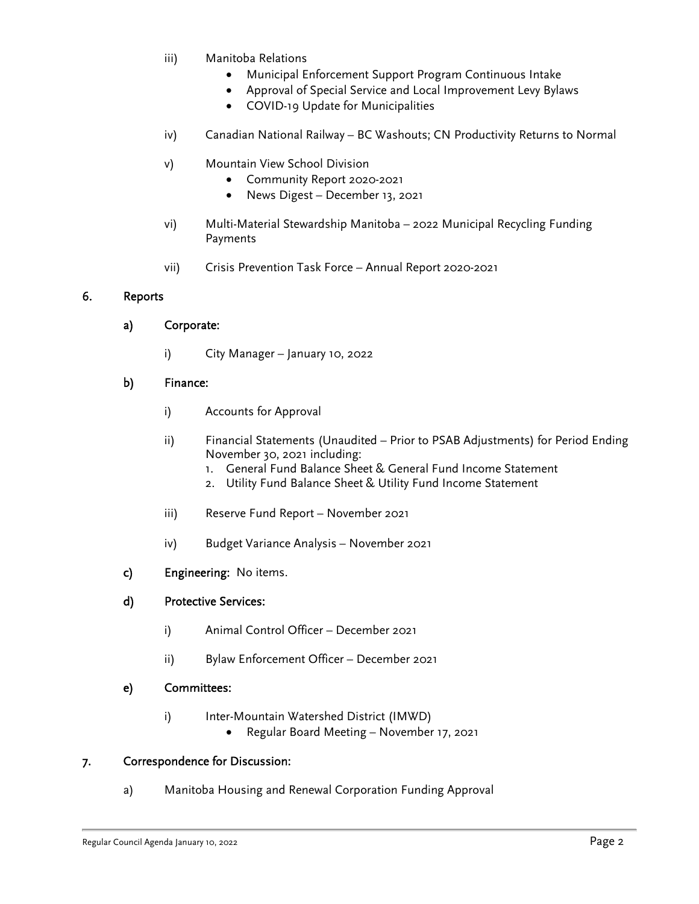- iii) Manitoba Relations
	- Municipal Enforcement Support Program Continuous Intake
	- Approval of Special Service and Local Improvement Levy Bylaws
	- COVID-19 Update for Municipalities
- iv) Canadian National Railway BC Washouts; CN Productivity Returns to Normal
- v) Mountain View School Division
	- Community Report 2020-2021
	- News Digest December 13, 2021
- vi) Multi-Material Stewardship Manitoba 2022 Municipal Recycling Funding Payments
- vii) Crisis Prevention Task Force Annual Report 2020-2021

### 6. Reports

## a) Corporate:

i) City Manager – January 10, 2022

### b) Finance:

- i) Accounts for Approval
- ii) Financial Statements (Unaudited Prior to PSAB Adjustments) for Period Ending November 30, 2021 including:
	- 1. General Fund Balance Sheet & General Fund Income Statement
	- 2. Utility Fund Balance Sheet & Utility Fund Income Statement
- iii) Reserve Fund Report November 2021
- iv) Budget Variance Analysis November 2021
- c) Engineering: No items.

## d) Protective Services:

- i) Animal Control Officer December 2021
- ii) Bylaw Enforcement Officer December 2021

## e) Committees:

- i) Inter-Mountain Watershed District (IMWD)
	- Regular Board Meeting November 17, 2021

## 7. Correspondence for Discussion:

a) Manitoba Housing and Renewal Corporation Funding Approval